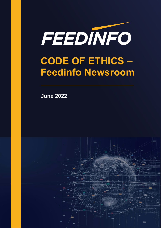

**June 2022**

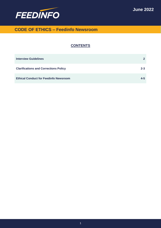

### **CONTENTS**

| <b>Interview Guidelines</b>                  |         |
|----------------------------------------------|---------|
| <b>Clarifications and Corrections Policy</b> | $2 - 3$ |
| <b>Ethical Conduct for Feedinfo Newsroom</b> | 4-5     |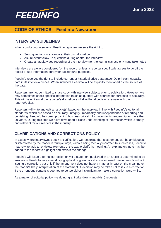

### **INTERVIEW GUIDELINES**

When conducting interviews, Feedinfo reporters reserve the right to:

- Send questions in advance at their own discretion
- Ask relevant follow-up questions during or after the interview
- Create an audio/video recording of the interview (for the journalist's use only) and take notes

Interviews are always considered 'on the record' unless a reporter specifically agrees to go off the record or use information purely for background purposes.

Feedinfo reserves the right to include current or historical price data and/or Delphi plant capacity data in its interview pieces. When included, Feedinfo will be explicitly mentioned as the source of the data.

Reporters are not permitted to share copy with interview subjects prior to publication. However, we may sometimes check specific information (such as quotes) with sources for purposes of accuracy. This will be entirely at the reporter's discretion and all editorial decisions remain with the reporter/editor.

Reporters will write and edit an article(s) based on the interview in line with Feedinfo's editorial standards, which are based on accuracy, integrity, impartiality and independence of reporting and publishing. Feedinfo has been providing business critical information to its readership for more than 20 years. During this time we have developed a close understanding of information which is timely and relevant for our readers in the industry.

## **CLARIFICATIONS AND CORRECTIONS POLICY**

In cases where interviewees seek a clarification, we recognise that a statement can be ambiguous, or interpreted by the reader in multiple ways, without being factually incorrect. In such cases, Feedinfo may rewrite, add to, or delete elements of the text to clarify its meaning. An explanatory note may be added to the report to highlight and explain the change.

Feedinfo will issue a formal correction only if a statement published in an article is determined to be erroneous. Feedinfo may amend typographical or grammatical errors or insert missing words without issuing a correction, but only if the amendment does not have a material impact on the meaning or the reader's likely interpretation of the statement. A decision may be taken not to issue a correction if the erroneous content is deemed to be too old or insignificant to make a correction worthwhile.

As a matter of editorial policy, we do not grant take-down (unpublish) requests.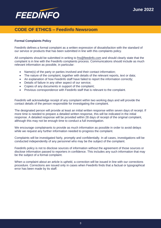

### **Formal Complaints Policy**

Feedinfo defines a formal complaint as a written expression of dissatisfaction with the standard of our service or products that has been submitted in line with this complaints policy.

All complaints should be submitted in writing to [fns@feedinfo.com](mailto:fns@feedinfo.com) and should clearly state that the complaint is in line with the Feedinfo complaints process. Communications should include as much relevant information as possible, in particular:

- Name(s) of the party or parties involved and their contact information;
- The nature of the complaint, together with details of the relevant reports, text or data;
- An explanation of how Feedinfo staff have failed to report the information correctly;
- Details of failure in any other aspect of our service;
- Copies of any documents in support of the complaint;
- Previous correspondence with Feedinfo staff that is relevant to the complaint.

Feedinfo will acknowledge receipt of any complaint within two working days and will provide the contact details of the person responsible for investigating the complaint.

The designated person will provide at least an initial written response within seven days of receipt. If more time is needed to prepare a detailed written response, this will be indicated in the initial response. A detailed response will be provided within 28 days of receipt of the original complaint, although this may not be enough time to conduct a full investigation.

We encourage complainants to provide as much information as possible in order to avoid delays while we request any further information needed to progress the complaint.

Complaints will be investigated fairly, promptly and confidentially. In all cases, investigations will be conducted independently of any personnel who may be the subject of the complaint.

Feedinfo policy is not to disclose sources of information without the agreement of those sources or disclose information passed to reporters in confidence. This includes any such information that may be the subject of a formal complaint.

When a complaint about an article is upheld, a correction will be issued in line with our corrections procedure. Corrections are issued only in cases when Feedinfo finds that a factual or typographical error has been made by its staff.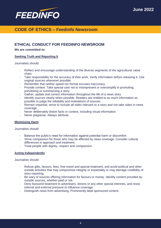

## **ETHICAL CONDUCT FOR FEEDINFO NEWSROOM**

### **We are committed to:**

### **Seeking Truth and Reporting It**

Journalists should:

- Reflect and encourage understanding of the diverse segments of the agricultural value chain.
- Take responsibility for the accuracy of their work. Verify information before releasing it. Use original sources whenever possible.
- Remember that neither speed nor format excuses inaccuracy.
- Provide context. Take special care not to misrepresent or oversimplify in promoting, previewing or summarising a story.
- Gather, update and correct information throughout the life of a news story.
- Identify sources clearly when possible. Readers are entitled to as much information as possible to judge the reliability and motivations of sources.
- Remain impartial; strive to include all sides relevant to a story and not take sides in news coverage.
- Never deliberately distort facts or context, including visual information.
- Never plagiarise. Always attribute.

### **Minimising Harm**

Journalists should:

- Balance the public's need for information against potential harm or discomfort.
- Show compassion for those who may be affected by news coverage. Consider cultural differences in approach and treatment.
- Treat people with dignity, respect and compassion.

### **Acting Independently**

Journalists should:

- Refuse gifts, favours, fees, free travel and special treatment, and avoid political and other outside activities that may compromise integrity or impartiality or may damage credibility of story reporting.
- Be wary of sources offering information for favours or money. Identify content provided by outside sources, whether paid or not.
- Deny favoured treatment to advertisers, donors or any other special interests, and resist internal and external pressure to influence coverage.
- Distinguish news from advertising. Prominently label sponsored content.